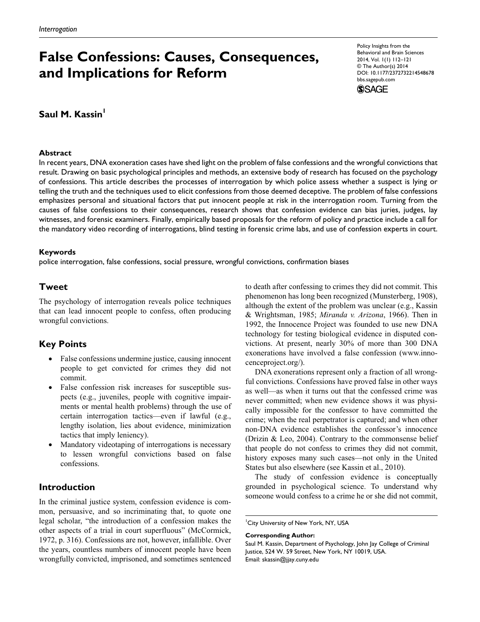# **False Confessions: Causes, Consequences, and Implications for Reform**

Saul M. Kassin<sup>1</sup>

#### **Abstract**

Policy Insights from the Behavioral and Brain Sciences 2014, Vol. 1(1) 112–121 © The Author(s) 2014 DOI: 10.1177/2372732214548678 bbs.sagepub.com



In recent years, DNA exoneration cases have shed light on the problem of false confessions and the wrongful convictions that result. Drawing on basic psychological principles and methods, an extensive body of research has focused on the psychology of confessions. This article describes the processes of interrogation by which police assess whether a suspect is lying or telling the truth and the techniques used to elicit confessions from those deemed deceptive. The problem of false confessions emphasizes personal and situational factors that put innocent people at risk in the interrogation room. Turning from the causes of false confessions to their consequences, research shows that confession evidence can bias juries, judges, lay witnesses, and forensic examiners. Finally, empirically based proposals for the reform of policy and practice include a call for the mandatory video recording of interrogations, blind testing in forensic crime labs, and use of confession experts in court.

## **Keywords**

police interrogation, false confessions, social pressure, wrongful convictions, confirmation biases

# **Tweet**

The psychology of interrogation reveals police techniques that can lead innocent people to confess, often producing wrongful convictions.

# **Key Points**

- False confessions undermine justice, causing innocent people to get convicted for crimes they did not commit.
- False confession risk increases for susceptible suspects (e.g., juveniles, people with cognitive impairments or mental health problems) through the use of certain interrogation tactics—even if lawful (e.g., lengthy isolation, lies about evidence, minimization tactics that imply leniency).
- Mandatory videotaping of interrogations is necessary to lessen wrongful convictions based on false confessions.

# **Introduction**

In the criminal justice system, confession evidence is common, persuasive, and so incriminating that, to quote one legal scholar, "the introduction of a confession makes the other aspects of a trial in court superfluous" (McCormick, 1972, p. 316). Confessions are not, however, infallible. Over the years, countless numbers of innocent people have been wrongfully convicted, imprisoned, and sometimes sentenced to death after confessing to crimes they did not commit. This phenomenon has long been recognized (Munsterberg, 1908), although the extent of the problem was unclear (e.g., Kassin & Wrightsman, 1985; *Miranda v. Arizona*, 1966). Then in 1992, the Innocence Project was founded to use new DNA technology for testing biological evidence in disputed convictions. At present, nearly 30% of more than 300 DNA exonerations have involved a false confession (www.innocenceproject.org/).

DNA exonerations represent only a fraction of all wrongful convictions. Confessions have proved false in other ways as well—as when it turns out that the confessed crime was never committed; when new evidence shows it was physically impossible for the confessor to have committed the crime; when the real perpetrator is captured; and when other non-DNA evidence establishes the confessor's innocence (Drizin & Leo, 2004). Contrary to the commonsense belief that people do not confess to crimes they did not commit, history exposes many such cases—not only in the United States but also elsewhere (see Kassin et al., 2010).

The study of confession evidence is conceptually grounded in psychological science. To understand why someone would confess to a crime he or she did not commit,

<sup>1</sup> City University of New York, NY, USA

#### **Corresponding Author:**

Saul M. Kassin, Department of Psychology, John Jay College of Criminal Justice, 524 W. 59 Street, New York, NY 10019, USA. Email: skassin@jjay.cuny.edu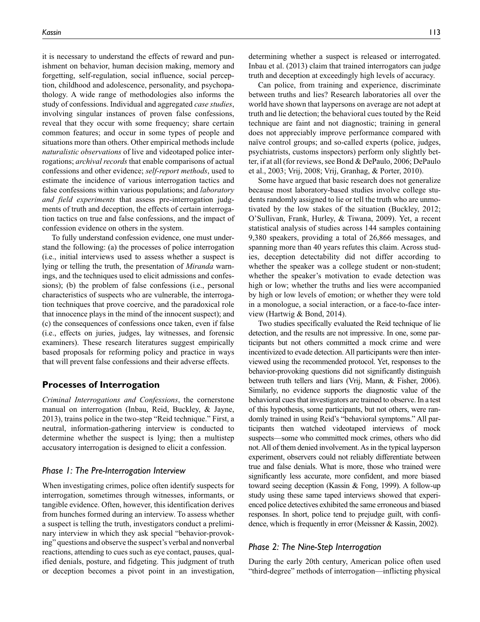it is necessary to understand the effects of reward and punishment on behavior, human decision making, memory and forgetting, self-regulation, social influence, social perception, childhood and adolescence, personality, and psychopathology. A wide range of methodologies also informs the study of confessions. Individual and aggregated *case studies*, involving singular instances of proven false confessions, reveal that they occur with some frequency; share certain common features; and occur in some types of people and situations more than others. Other empirical methods include *naturalistic observations* of live and videotaped police interrogations; *archival records* that enable comparisons of actual confessions and other evidence; *self-report methods*, used to estimate the incidence of various interrogation tactics and false confessions within various populations; and *laboratory and field experiments* that assess pre-interrogation judgments of truth and deception, the effects of certain interrogation tactics on true and false confessions, and the impact of confession evidence on others in the system.

To fully understand confession evidence, one must understand the following: (a) the processes of police interrogation (i.e., initial interviews used to assess whether a suspect is lying or telling the truth, the presentation of *Miranda* warnings, and the techniques used to elicit admissions and confessions); (b) the problem of false confessions (i.e., personal characteristics of suspects who are vulnerable, the interrogation techniques that prove coercive, and the paradoxical role that innocence plays in the mind of the innocent suspect); and (c) the consequences of confessions once taken, even if false (i.e., effects on juries, judges, lay witnesses, and forensic examiners). These research literatures suggest empirically based proposals for reforming policy and practice in ways that will prevent false confessions and their adverse effects.

## **Processes of Interrogation**

*Criminal Interrogations and Confessions*, the cornerstone manual on interrogation (Inbau, Reid, Buckley, & Jayne, 2013), trains police in the two-step "Reid technique." First, a neutral, information-gathering interview is conducted to determine whether the suspect is lying; then a multistep accusatory interrogation is designed to elicit a confession.

#### *Phase 1: The Pre-Interrogation Interview*

When investigating crimes, police often identify suspects for interrogation, sometimes through witnesses, informants, or tangible evidence. Often, however, this identification derives from hunches formed during an interview. To assess whether a suspect is telling the truth, investigators conduct a preliminary interview in which they ask special "behavior-provoking" questions and observe the suspect's verbal and nonverbal reactions, attending to cues such as eye contact, pauses, qualified denials, posture, and fidgeting. This judgment of truth or deception becomes a pivot point in an investigation,

determining whether a suspect is released or interrogated. Inbau et al. (2013) claim that trained interrogators can judge truth and deception at exceedingly high levels of accuracy.

Can police, from training and experience, discriminate between truths and lies? Research laboratories all over the world have shown that laypersons on average are not adept at truth and lie detection; the behavioral cues touted by the Reid technique are faint and not diagnostic; training in general does not appreciably improve performance compared with naïve control groups; and so-called experts (police, judges, psychiatrists, customs inspectors) perform only slightly better, if at all (for reviews, see Bond & DePaulo, 2006; DePaulo et al., 2003; Vrij, 2008; Vrij, Granhag, & Porter, 2010).

Some have argued that basic research does not generalize because most laboratory-based studies involve college students randomly assigned to lie or tell the truth who are unmotivated by the low stakes of the situation (Buckley, 2012; O'Sullivan, Frank, Hurley, & Tiwana, 2009). Yet, a recent statistical analysis of studies across 144 samples containing 9,380 speakers, providing a total of 26,866 messages, and spanning more than 40 years refutes this claim. Across studies, deception detectability did not differ according to whether the speaker was a college student or non-student; whether the speaker's motivation to evade detection was high or low; whether the truths and lies were accompanied by high or low levels of emotion; or whether they were told in a monologue, a social interaction, or a face-to-face interview (Hartwig & Bond, 2014).

Two studies specifically evaluated the Reid technique of lie detection, and the results are not impressive. In one, some participants but not others committed a mock crime and were incentivized to evade detection. All participants were then interviewed using the recommended protocol. Yet, responses to the behavior-provoking questions did not significantly distinguish between truth tellers and liars (Vrij, Mann, & Fisher, 2006). Similarly, no evidence supports the diagnostic value of the behavioral cues that investigators are trained to observe. In a test of this hypothesis, some participants, but not others, were randomly trained in using Reid's "behavioral symptoms." All participants then watched videotaped interviews of mock suspects—some who committed mock crimes, others who did not. All of them denied involvement. As in the typical layperson experiment, observers could not reliably differentiate between true and false denials. What is more, those who trained were significantly less accurate, more confident, and more biased toward seeing deception (Kassin & Fong, 1999). A follow-up study using these same taped interviews showed that experienced police detectives exhibited the same erroneous and biased responses. In short, police tend to prejudge guilt, with confidence, which is frequently in error (Meissner & Kassin, 2002).

#### *Phase 2: The Nine-Step Interrogation*

During the early 20th century, American police often used "third-degree" methods of interrogation—inflicting physical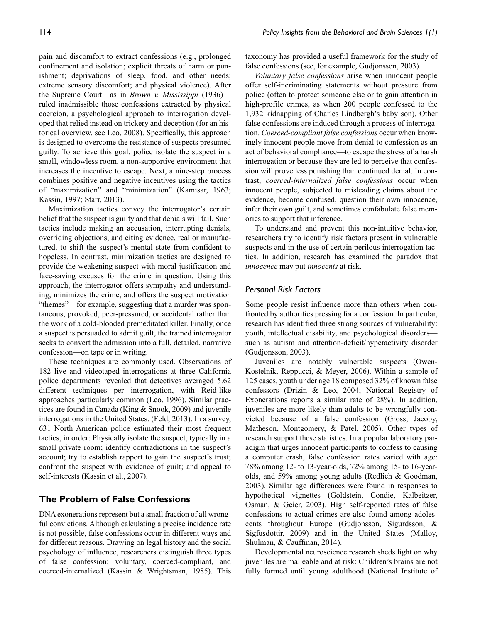pain and discomfort to extract confessions (e.g., prolonged confinement and isolation; explicit threats of harm or punishment; deprivations of sleep, food, and other needs; extreme sensory discomfort; and physical violence). After the Supreme Court—as in *Brown v. Mississippi* (1936) ruled inadmissible those confessions extracted by physical coercion, a psychological approach to interrogation developed that relied instead on trickery and deception (for an historical overview, see Leo, 2008). Specifically, this approach is designed to overcome the resistance of suspects presumed guilty. To achieve this goal, police isolate the suspect in a small, windowless room, a non-supportive environment that increases the incentive to escape. Next, a nine-step process combines positive and negative incentives using the tactics of "maximization" and "minimization" (Kamisar, 1963; Kassin, 1997; Starr, 2013).

Maximization tactics convey the interrogator's certain belief that the suspect is guilty and that denials will fail. Such tactics include making an accusation, interrupting denials, overriding objections, and citing evidence, real or manufactured, to shift the suspect's mental state from confident to hopeless. In contrast, minimization tactics are designed to provide the weakening suspect with moral justification and face-saving excuses for the crime in question. Using this approach, the interrogator offers sympathy and understanding, minimizes the crime, and offers the suspect motivation "themes"—for example, suggesting that a murder was spontaneous, provoked, peer-pressured, or accidental rather than the work of a cold-blooded premeditated killer. Finally, once a suspect is persuaded to admit guilt, the trained interrogator seeks to convert the admission into a full, detailed, narrative confession—on tape or in writing.

These techniques are commonly used. Observations of 182 live and videotaped interrogations at three California police departments revealed that detectives averaged 5.62 different techniques per interrogation, with Reid-like approaches particularly common (Leo, 1996). Similar practices are found in Canada (King & Snook, 2009) and juvenile interrogations in the United States. (Feld, 2013). In a survey, 631 North American police estimated their most frequent tactics, in order: Physically isolate the suspect, typically in a small private room; identify contradictions in the suspect's account; try to establish rapport to gain the suspect's trust; confront the suspect with evidence of guilt; and appeal to self-interests (Kassin et al., 2007).

## **The Problem of False Confessions**

DNA exonerations represent but a small fraction of all wrongful convictions. Although calculating a precise incidence rate is not possible, false confessions occur in different ways and for different reasons. Drawing on legal history and the social psychology of influence, researchers distinguish three types of false confession: voluntary, coerced-compliant, and coerced-internalized (Kassin & Wrightsman, 1985). This taxonomy has provided a useful framework for the study of false confessions (see, for example, Gudjonsson, 2003).

*Voluntary false confessions* arise when innocent people offer self-incriminating statements without pressure from police (often to protect someone else or to gain attention in high-profile crimes, as when 200 people confessed to the 1,932 kidnapping of Charles Lindbergh's baby son). Other false confessions are induced through a process of interrogation. *Coerced-compliant false confessions* occur when knowingly innocent people move from denial to confession as an act of behavioral compliance—to escape the stress of a harsh interrogation or because they are led to perceive that confession will prove less punishing than continued denial. In contrast, *coerced-internalized false confessions* occur when innocent people, subjected to misleading claims about the evidence, become confused, question their own innocence, infer their own guilt, and sometimes confabulate false memories to support that inference.

To understand and prevent this non-intuitive behavior, researchers try to identify risk factors present in vulnerable suspects and in the use of certain perilous interrogation tactics. In addition, research has examined the paradox that *innocence* may put *innocents* at risk.

## *Personal Risk Factors*

Some people resist influence more than others when confronted by authorities pressing for a confession. In particular, research has identified three strong sources of vulnerability: youth, intellectual disability, and psychological disorders such as autism and attention-deficit/hyperactivity disorder (Gudjonsson, 2003).

Juveniles are notably vulnerable suspects (Owen-Kostelnik, Reppucci, & Meyer, 2006). Within a sample of 125 cases, youth under age 18 composed 32% of known false confessors (Drizin & Leo, 2004; National Registry of Exonerations reports a similar rate of 28%). In addition, juveniles are more likely than adults to be wrongfully convicted because of a false confession (Gross, Jacoby, Matheson, Montgomery, & Patel, 2005). Other types of research support these statistics. In a popular laboratory paradigm that urges innocent participants to confess to causing a computer crash, false confession rates varied with age: 78% among 12- to 13-year-olds, 72% among 15- to 16-yearolds, and 59% among young adults (Redlich & Goodman, 2003). Similar age differences were found in responses to hypothetical vignettes (Goldstein, Condie, Kalbeitzer, Osman, & Geier, 2003). High self-reported rates of false confessions to actual crimes are also found among adolescents throughout Europe (Gudjonsson, Sigurdsson, & Sigfusdottir, 2009) and in the United States (Malloy, Shulman, & Cauffman, 2014).

Developmental neuroscience research sheds light on why juveniles are malleable and at risk: Children's brains are not fully formed until young adulthood (National Institute of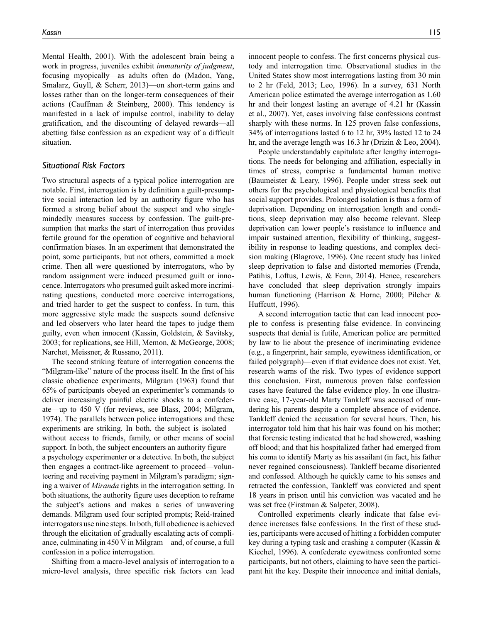Mental Health, 2001). With the adolescent brain being a work in progress, juveniles exhibit *immaturity of judgment*, focusing myopically—as adults often do (Madon, Yang, Smalarz, Guyll, & Scherr, 2013)—on short-term gains and losses rather than on the longer-term consequences of their actions (Cauffman & Steinberg, 2000). This tendency is manifested in a lack of impulse control, inability to delay gratification, and the discounting of delayed rewards—all abetting false confession as an expedient way of a difficult situation.

#### *Situational Risk Factors*

Two structural aspects of a typical police interrogation are notable. First, interrogation is by definition a guilt-presumptive social interaction led by an authority figure who has formed a strong belief about the suspect and who singlemindedly measures success by confession. The guilt-presumption that marks the start of interrogation thus provides fertile ground for the operation of cognitive and behavioral confirmation biases. In an experiment that demonstrated the point, some participants, but not others, committed a mock crime. Then all were questioned by interrogators, who by random assignment were induced presumed guilt or innocence. Interrogators who presumed guilt asked more incriminating questions, conducted more coercive interrogations, and tried harder to get the suspect to confess. In turn, this more aggressive style made the suspects sound defensive and led observers who later heard the tapes to judge them guilty, even when innocent (Kassin, Goldstein, & Savitsky, 2003; for replications, see Hill, Memon, & McGeorge, 2008; Narchet, Meissner, & Russano, 2011).

The second striking feature of interrogation concerns the "Milgram-like" nature of the process itself. In the first of his classic obedience experiments, Milgram (1963) found that 65% of participants obeyed an experimenter's commands to deliver increasingly painful electric shocks to a confederate—up to 450 V (for reviews, see Blass, 2004; Milgram, 1974). The parallels between police interrogations and these experiments are striking. In both, the subject is isolated without access to friends, family, or other means of social support. In both, the subject encounters an authority figure a psychology experimenter or a detective. In both, the subject then engages a contract-like agreement to proceed—volunteering and receiving payment in Milgram's paradigm; signing a waiver of *Miranda* rights in the interrogation setting. In both situations, the authority figure uses deception to reframe the subject's actions and makes a series of unwavering demands. Milgram used four scripted prompts; Reid-trained interrogators use nine steps. In both, full obedience is achieved through the elicitation of gradually escalating acts of compliance, culminating in 450 V in Milgram—and, of course, a full confession in a police interrogation.

Shifting from a macro-level analysis of interrogation to a micro-level analysis, three specific risk factors can lead innocent people to confess. The first concerns physical custody and interrogation time. Observational studies in the United States show most interrogations lasting from 30 min to 2 hr (Feld, 2013; Leo, 1996). In a survey, 631 North American police estimated the average interrogation as 1.60 hr and their longest lasting an average of 4.21 hr (Kassin et al., 2007). Yet, cases involving false confessions contrast sharply with these norms. In 125 proven false confessions, 34% of interrogations lasted 6 to 12 hr, 39% lasted 12 to 24 hr, and the average length was 16.3 hr (Drizin & Leo, 2004).

People understandably capitulate after lengthy interrogations. The needs for belonging and affiliation, especially in times of stress, comprise a fundamental human motive (Baumeister & Leary, 1996). People under stress seek out others for the psychological and physiological benefits that social support provides. Prolonged isolation is thus a form of deprivation. Depending on interrogation length and conditions, sleep deprivation may also become relevant. Sleep deprivation can lower people's resistance to influence and impair sustained attention, flexibility of thinking, suggestibility in response to leading questions, and complex decision making (Blagrove, 1996). One recent study has linked sleep deprivation to false and distorted memories (Frenda, Patihis, Loftus, Lewis, & Fenn, 2014). Hence, researchers have concluded that sleep deprivation strongly impairs human functioning (Harrison & Horne, 2000; Pilcher & Huffcutt, 1996).

A second interrogation tactic that can lead innocent people to confess is presenting false evidence. In convincing suspects that denial is futile, American police are permitted by law to lie about the presence of incriminating evidence (e.g., a fingerprint, hair sample, eyewitness identification, or failed polygraph)—even if that evidence does not exist. Yet, research warns of the risk. Two types of evidence support this conclusion. First, numerous proven false confession cases have featured the false evidence ploy. In one illustrative case, 17-year-old Marty Tankleff was accused of murdering his parents despite a complete absence of evidence. Tankleff denied the accusation for several hours. Then, his interrogator told him that his hair was found on his mother; that forensic testing indicated that he had showered, washing off blood; and that his hospitalized father had emerged from his coma to identify Marty as his assailant (in fact, his father never regained consciousness). Tankleff became disoriented and confessed. Although he quickly came to his senses and retracted the confession, Tankleff was convicted and spent 18 years in prison until his conviction was vacated and he was set free (Firstman & Salpeter, 2008).

Controlled experiments clearly indicate that false evidence increases false confessions. In the first of these studies, participants were accused of hitting a forbidden computer key during a typing task and crashing a computer (Kassin & Kiechel, 1996). A confederate eyewitness confronted some participants, but not others, claiming to have seen the participant hit the key. Despite their innocence and initial denials,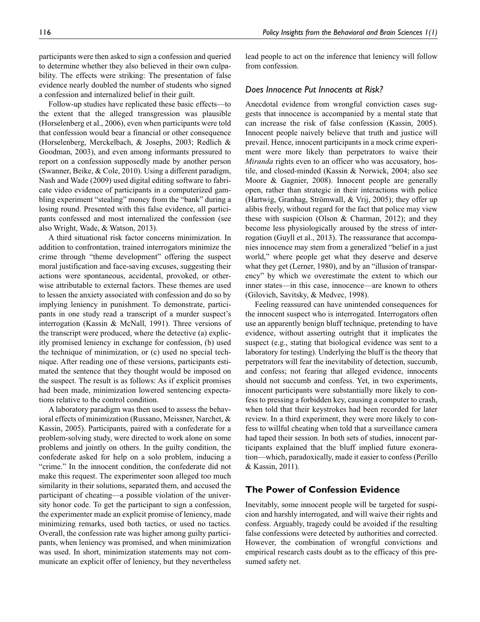participants were then asked to sign a confession and queried to determine whether they also believed in their own culpability. The effects were striking: The presentation of false evidence nearly doubled the number of students who signed a confession and internalized belief in their guilt.

Follow-up studies have replicated these basic effects—to the extent that the alleged transgression was plausible (Horselenberg et al., 2006), even when participants were told that confession would bear a financial or other consequence (Horselenberg, Merckelbach, & Josephs, 2003; Redlich & Goodman, 2003), and even among informants pressured to report on a confession supposedly made by another person (Swanner, Beike, & Cole, 2010). Using a different paradigm, Nash and Wade (2009) used digital editing software to fabricate video evidence of participants in a computerized gambling experiment "stealing" money from the "bank" during a losing round. Presented with this false evidence, all participants confessed and most internalized the confession (see also Wright, Wade, & Watson, 2013).

A third situational risk factor concerns minimization. In addition to confrontation, trained interrogators minimize the crime through "theme development" offering the suspect moral justification and face-saving excuses, suggesting their actions were spontaneous, accidental, provoked, or otherwise attributable to external factors. These themes are used to lessen the anxiety associated with confession and do so by implying leniency in punishment. To demonstrate, participants in one study read a transcript of a murder suspect's interrogation (Kassin & McNall, 1991). Three versions of the transcript were produced, where the detective (a) explicitly promised leniency in exchange for confession, (b) used the technique of minimization, or (c) used no special technique. After reading one of these versions, participants estimated the sentence that they thought would be imposed on the suspect. The result is as follows: As if explicit promises had been made, minimization lowered sentencing expectations relative to the control condition.

A laboratory paradigm was then used to assess the behavioral effects of minimization (Russano, Meissner, Narchet, & Kassin, 2005). Participants, paired with a confederate for a problem-solving study, were directed to work alone on some problems and jointly on others. In the guilty condition, the confederate asked for help on a solo problem, inducing a "crime." In the innocent condition, the confederate did not make this request. The experimenter soon alleged too much similarity in their solutions, separated them, and accused the participant of cheating—a possible violation of the university honor code. To get the participant to sign a confession, the experimenter made an explicit promise of leniency, made minimizing remarks, used both tactics, or used no tactics. Overall, the confession rate was higher among guilty participants, when leniency was promised, and when minimization was used. In short, minimization statements may not communicate an explicit offer of leniency, but they nevertheless lead people to act on the inference that leniency will follow from confession.

## *Does Innocence Put Innocents at Risk?*

Anecdotal evidence from wrongful conviction cases suggests that innocence is accompanied by a mental state that can increase the risk of false confession (Kassin, 2005). Innocent people naively believe that truth and justice will prevail. Hence, innocent participants in a mock crime experiment were more likely than perpetrators to waive their *Miranda* rights even to an officer who was accusatory, hostile, and closed-minded (Kassin & Norwick, 2004; also see Moore & Gagnier, 2008). Innocent people are generally open, rather than strategic in their interactions with police (Hartwig, Granhag, Strömwall, & Vrij, 2005); they offer up alibis freely, without regard for the fact that police may view these with suspicion (Olson & Charman, 2012); and they become less physiologically aroused by the stress of interrogation (Guyll et al., 2013). The reassurance that accompanies innocence may stem from a generalized "belief in a just world," where people get what they deserve and deserve what they get (Lerner, 1980), and by an "illusion of transparency" by which we overestimate the extent to which our inner states—in this case, innocence—are known to others (Gilovich, Savitsky, & Medvec, 1998).

Feeling reassured can have unintended consequences for the innocent suspect who is interrogated. Interrogators often use an apparently benign bluff technique, pretending to have evidence, without asserting outright that it implicates the suspect (e.g., stating that biological evidence was sent to a laboratory for testing). Underlying the bluff is the theory that perpetrators will fear the inevitability of detection, succumb, and confess; not fearing that alleged evidence, innocents should not succumb and confess. Yet, in two experiments, innocent participants were substantially more likely to confess to pressing a forbidden key, causing a computer to crash, when told that their keystrokes had been recorded for later review. In a third experiment, they were more likely to confess to willful cheating when told that a surveillance camera had taped their session. In both sets of studies, innocent participants explained that the bluff implied future exoneration—which, paradoxically, made it easier to confess (Perillo & Kassin, 2011).

## **The Power of Confession Evidence**

Inevitably, some innocent people will be targeted for suspicion and harshly interrogated, and will waive their rights and confess. Arguably, tragedy could be avoided if the resulting false confessions were detected by authorities and corrected. However, the combination of wrongful convictions and empirical research casts doubt as to the efficacy of this presumed safety net.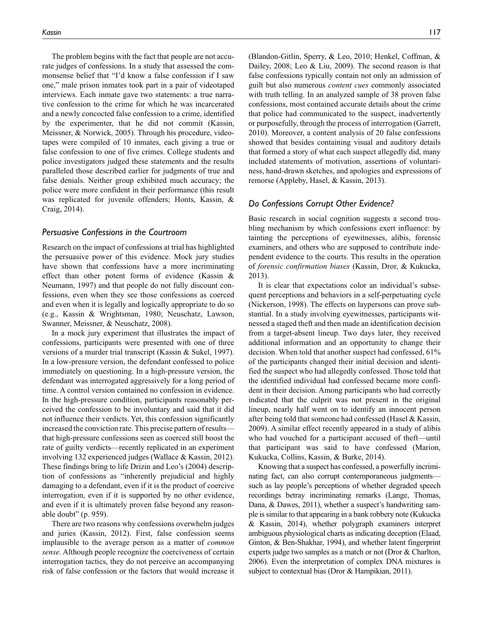The problem begins with the fact that people are not accurate judges of confessions. In a study that assessed the commonsense belief that "I'd know a false confession if I saw one," male prison inmates took part in a pair of videotaped interviews. Each inmate gave two statements: a true narrative confession to the crime for which he was incarcerated and a newly concocted false confession to a crime, identified by the experimenter, that he did not commit (Kassin, Meissner, & Norwick, 2005). Through his procedure, videotapes were compiled of 10 inmates, each giving a true or false confession to one of five crimes. College students and police investigators judged these statements and the results paralleled those described earlier for judgments of true and false denials. Neither group exhibited much accuracy; the police were more confident in their performance (this result was replicated for juvenile offenders; Honts, Kassin, & Craig, 2014).

### *Persuasive Confessions in the Courtroom*

Research on the impact of confessions at trial has highlighted the persuasive power of this evidence. Mock jury studies have shown that confessions have a more incriminating effect than other potent forms of evidence (Kassin & Neumann, 1997) and that people do not fully discount confessions, even when they see those confessions as coerced and even when it is legally and logically appropriate to do so (e.g., Kassin & Wrightsman, 1980; Neuschatz, Lawson, Swanner, Meissner, & Neuschatz, 2008).

In a mock jury experiment that illustrates the impact of confessions, participants were presented with one of three versions of a murder trial transcript (Kassin & Sukel, 1997). In a low-pressure version, the defendant confessed to police immediately on questioning. In a high-pressure version, the defendant was interrogated aggressively for a long period of time. A control version contained no confession in evidence. In the high-pressure condition, participants reasonably perceived the confession to be involuntary and said that it did not influence their verdicts. Yet, this confession significantly increased the conviction rate. This precise pattern of results that high-pressure confessions seen as coerced still boost the rate of guilty verdicts—recently replicated in an experiment involving 132 experienced judges (Wallace & Kassin, 2012). These findings bring to life Drizin and Leo's (2004) description of confessions as "inherently prejudicial and highly damaging to a defendant, even if it is the product of coercive interrogation, even if it is supported by no other evidence, and even if it is ultimately proven false beyond any reasonable doubt" (p. 959).

There are two reasons why confessions overwhelm judges and juries (Kassin, 2012). First, false confession seems implausible to the average person as a matter of *common sense*. Although people recognize the coerciveness of certain interrogation tactics, they do not perceive an accompanying risk of false confession or the factors that would increase it

(Blandon-Gitlin, Sperry, & Leo, 2010; Henkel, Coffman, & Dailey, 2008; Leo & Liu, 2009). The second reason is that false confessions typically contain not only an admission of guilt but also numerous *content cues* commonly associated with truth telling. In an analyzed sample of 38 proven false confessions, most contained accurate details about the crime that police had communicated to the suspect, inadvertently or purposefully, through the process of interrogation (Garrett, 2010). Moreover, a content analysis of 20 false confessions showed that besides containing visual and auditory details that formed a story of what each suspect allegedly did, many included statements of motivation, assertions of voluntariness, hand-drawn sketches, and apologies and expressions of remorse (Appleby, Hasel, & Kassin, 2013).

# *Do Confessions Corrupt Other Evidence?*

Basic research in social cognition suggests a second troubling mechanism by which confessions exert influence: by tainting the perceptions of eyewitnesses, alibis, forensic examiners, and others who are supposed to contribute independent evidence to the courts. This results in the operation of *forensic confirmation biases* (Kassin, Dror, & Kukucka, 2013).

It is clear that expectations color an individual's subsequent perceptions and behaviors in a self-perpetuating cycle (Nickerson, 1998). The effects on laypersons can prove substantial. In a study involving eyewitnesses, participants witnessed a staged theft and then made an identification decision from a target-absent lineup. Two days later, they received additional information and an opportunity to change their decision. When told that another suspect had confessed, 61% of the participants changed their initial decision and identified the suspect who had allegedly confessed. Those told that the identified individual had confessed became more confident in their decision. Among participants who had correctly indicated that the culprit was not present in the original lineup, nearly half went on to identify an innocent person after being told that someone had confessed (Hasel & Kassin, 2009). A similar effect recently appeared in a study of alibis who had vouched for a participant accused of theft—until that participant was said to have confessed (Marion, Kukucka, Collins, Kassin, & Burke, 2014).

Knowing that a suspect has confessed, a powerfully incriminating fact, can also corrupt contemporaneous judgments such as lay people's perceptions of whether degraded speech recordings betray incriminating remarks (Lange, Thomas, Dana, & Dawes, 2011), whether a suspect's handwriting sample is similar to that appearing in a bank robbery note (Kukucka & Kassin, 2014), whether polygraph examiners interpret ambiguous physiological charts as indicating deception (Elaad, Ginton, & Ben-Shakhar, 1994), and whether latent fingerprint experts judge two samples as a match or not (Dror & Charlton, 2006). Even the interpretation of complex DNA mixtures is subject to contextual bias (Dror & Hampikian, 2011).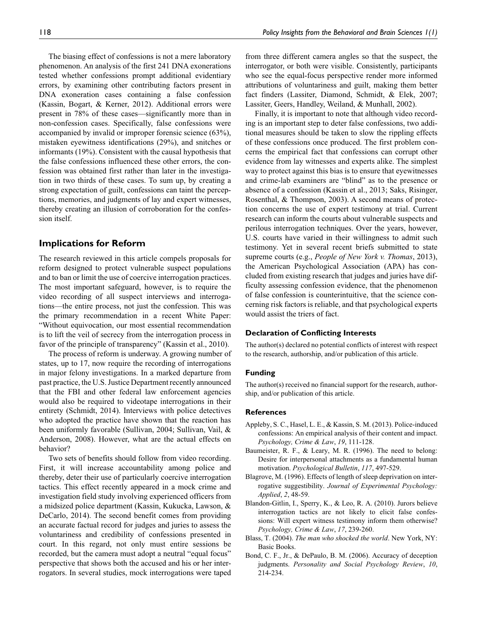The biasing effect of confessions is not a mere laboratory phenomenon. An analysis of the first 241 DNA exonerations tested whether confessions prompt additional evidentiary errors, by examining other contributing factors present in DNA exoneration cases containing a false confession (Kassin, Bogart, & Kerner, 2012). Additional errors were present in 78% of these cases—significantly more than in non-confession cases. Specifically, false confessions were accompanied by invalid or improper forensic science (63%), mistaken eyewitness identifications (29%), and snitches or informants (19%). Consistent with the causal hypothesis that the false confessions influenced these other errors, the confession was obtained first rather than later in the investigation in two thirds of these cases. To sum up, by creating a strong expectation of guilt, confessions can taint the perceptions, memories, and judgments of lay and expert witnesses, thereby creating an illusion of corroboration for the confession itself.

## **Implications for Reform**

The research reviewed in this article compels proposals for reform designed to protect vulnerable suspect populations and to ban or limit the use of coercive interrogation practices. The most important safeguard, however, is to require the video recording of all suspect interviews and interrogations—the entire process, not just the confession. This was the primary recommendation in a recent White Paper: "Without equivocation, our most essential recommendation is to lift the veil of secrecy from the interrogation process in favor of the principle of transparency" (Kassin et al., 2010).

The process of reform is underway. A growing number of states, up to 17, now require the recording of interrogations in major felony investigations. In a marked departure from past practice, the U.S. Justice Department recently announced that the FBI and other federal law enforcement agencies would also be required to videotape interrogations in their entirety (Schmidt, 2014). Interviews with police detectives who adopted the practice have shown that the reaction has been uniformly favorable (Sullivan, 2004; Sullivan, Vail, & Anderson, 2008). However, what are the actual effects on behavior?

Two sets of benefits should follow from video recording. First, it will increase accountability among police and thereby, deter their use of particularly coercive interrogation tactics. This effect recently appeared in a mock crime and investigation field study involving experienced officers from a midsized police department (Kassin, Kukucka, Lawson, & DeCarlo, 2014). The second benefit comes from providing an accurate factual record for judges and juries to assess the voluntariness and credibility of confessions presented in court. In this regard, not only must entire sessions be recorded, but the camera must adopt a neutral "equal focus" perspective that shows both the accused and his or her interrogators. In several studies, mock interrogations were taped from three different camera angles so that the suspect, the interrogator, or both were visible. Consistently, participants who see the equal-focus perspective render more informed attributions of voluntariness and guilt, making them better fact finders (Lassiter, Diamond, Schmidt, & Elek, 2007; Lassiter, Geers, Handley, Weiland, & Munhall, 2002).

Finally, it is important to note that although video recording is an important step to deter false confessions, two additional measures should be taken to slow the rippling effects of these confessions once produced. The first problem concerns the empirical fact that confessions can corrupt other evidence from lay witnesses and experts alike. The simplest way to protect against this bias is to ensure that eyewitnesses and crime-lab examiners are "blind" as to the presence or absence of a confession (Kassin et al., 2013; Saks, Risinger, Rosenthal, & Thompson, 2003). A second means of protection concerns the use of expert testimony at trial. Current research can inform the courts about vulnerable suspects and perilous interrogation techniques. Over the years, however, U.S. courts have varied in their willingness to admit such testimony. Yet in several recent briefs submitted to state supreme courts (e.g., *People of New York v. Thomas*, 2013), the American Psychological Association (APA) has concluded from existing research that judges and juries have difficulty assessing confession evidence, that the phenomenon of false confession is counterintuitive, that the science concerning risk factors is reliable, and that psychological experts would assist the triers of fact.

#### **Declaration of Conflicting Interests**

The author(s) declared no potential conflicts of interest with respect to the research, authorship, and/or publication of this article.

#### **Funding**

The author(s) received no financial support for the research, authorship, and/or publication of this article.

#### **References**

- Appleby, S. C., Hasel, L. E., & Kassin, S. M. (2013). Police-induced confessions: An empirical analysis of their content and impact. *Psychology, Crime & Law*, *19*, 111-128.
- Baumeister, R. F., & Leary, M. R. (1996). The need to belong: Desire for interpersonal attachments as a fundamental human motivation. *Psychological Bulletin*, *117*, 497-529.
- Blagrove, M. (1996). Effects of length of sleep deprivation on interrogative suggestibility. *Journal of Experimental Psychology: Applied*, *2*, 48-59.
- Blandon-Gitlin, I., Sperry, K., & Leo, R. A. (2010). Jurors believe interrogation tactics are not likely to elicit false confessions: Will expert witness testimony inform them otherwise? *Psychology, Crime & Law*, *17*, 239-260.
- Blass, T. (2004). *The man who shocked the world*. New York, NY: Basic Books.
- Bond, C. F., Jr., & DePaulo, B. M. (2006). Accuracy of deception judgments. *Personality and Social Psychology Review*, *10*, 214-234.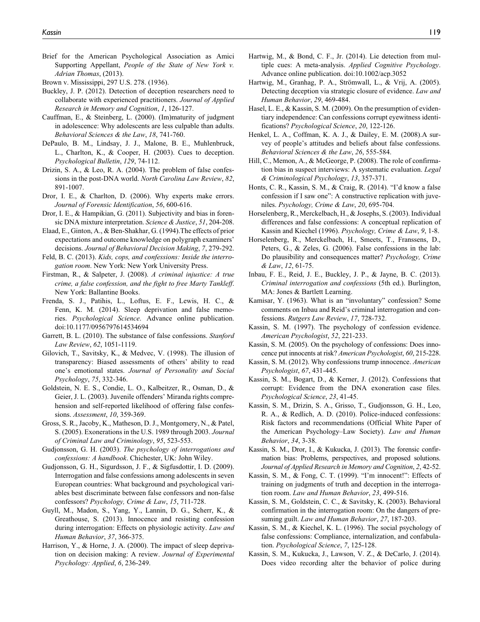- Brief for the American Psychological Association as Amici Supporting Appellant, *People of the State of New York v. Adrian Thomas*, (2013).
- Brown v. Mississippi, 297 U.S. 278. (1936).
- Buckley, J. P. (2012). Detection of deception researchers need to collaborate with experienced practitioners. *Journal of Applied Research in Memory and Cognition*, *1*, 126-127.
- Cauffman, E., & Steinberg, L. (2000). (Im)maturity of judgment in adolescence: Why adolescents are less culpable than adults. *Behavioral Sciences & the Law*, *18*, 741-760.
- DePaulo, B. M., Lindsay, J. J., Malone, B. E., Muhlenbruck, L., Charlton, K., & Cooper, H. (2003). Cues to deception. *Psychological Bulletin*, *129*, 74-112.
- Drizin, S. A., & Leo, R. A. (2004). The problem of false confessions in the post-DNA world. *North Carolina Law Review*, *82*, 891-1007.
- Dror, I. E., & Charlton, D. (2006). Why experts make errors. *Journal of Forensic Identification*, *56*, 600-616.
- Dror, I. E., & Hampikian, G. (2011). Subjectivity and bias in forensic DNA mixture interpretation. *Science & Justice*, *51*, 204-208.
- Elaad, E., Ginton, A., & Ben-Shakhar, G. (1994).The effects of prior expectations and outcome knowledge on polygraph examiners' decisions. *Journal of Behavioral Decision Making*, *7*, 279-292.
- Feld, B. C. (2013). *Kids, cops, and confessions: Inside the interrogation room*. New York: New York University Press.
- Firstman, R., & Salpeter, J. (2008). *A criminal injustice: A true crime, a false confession, and the fight to free Marty Tankleff*. New York: Ballantine Books.
- Frenda, S. J., Patihis, L., Loftus, E. F., Lewis, H. C., & Fenn, K. M. (2014). Sleep deprivation and false memories. *Psychological Science*. Advance online publication. doi:10.1177/0956797614534694
- Garrett, B. L. (2010). The substance of false confessions. *Stanford Law Review*, *62*, 1051-1119.
- Gilovich, T., Savitsky, K., & Medvec, V. (1998). The illusion of transparency: Biased assessments of others' ability to read one's emotional states. *Journal of Personality and Social Psychology*, *75*, 332-346.
- Goldstein, N. E. S., Condie, L. O., Kalbeitzer, R., Osman, D., & Geier, J. L. (2003). Juvenile offenders' Miranda rights comprehension and self-reported likelihood of offering false confessions. *Assessment*, *10*, 359-369.
- Gross, S. R., Jacoby, K., Matheson, D. J., Montgomery, N., & Patel, S. (2005). Exonerations in the U.S. 1989 through 2003. *Journal of Criminal Law and Criminology*, *95*, 523-553.
- Gudjonsson, G. H. (2003). *The psychology of interrogations and confessions: A handbook*. Chichester, UK: John Wiley.
- Gudjonsson, G. H., Sigurdsson, J. F., & Sigfusdottir, I. D. (2009). Interrogation and false confessions among adolescents in seven European countries: What background and psychological variables best discriminate between false confessors and non-false confessors? *Psychology, Crime & Law*, *15*, 711-728.
- Guyll, M., Madon, S., Yang, Y., Lannin, D. G., Scherr, K., & Greathouse, S. (2013). Innocence and resisting confession during interrogation: Effects on physiologic activity. *Law and Human Behavior*, *37*, 366-375.
- Harrison, Y., & Horne, J. A. (2000). The impact of sleep deprivation on decision making: A review. *Journal of Experimental Psychology: Applied*, *6*, 236-249.
- Hartwig, M., & Bond, C. F., Jr. (2014). Lie detection from multiple cues: A meta-analysis. *Applied Cognitive Psychology*. Advance online publication. doi:10.1002/acp.3052
- Hartwig, M., Granhag, P. A., Strömwall, L., & Vrij, A. (2005). Detecting deception via strategic closure of evidence. *Law and Human Behavior*, *29*, 469-484.
- Hasel, L. E., & Kassin, S. M. (2009). On the presumption of evidentiary independence: Can confessions corrupt eyewitness identifications? *Psychological Science*, *20*, 122-126.
- Henkel, L. A., Coffman, K. A. J., & Dailey, E. M. (2008).A survey of people's attitudes and beliefs about false confessions. *Behavioral Sciences & the Law*, *26*, 555-584.
- Hill, C., Memon, A., & McGeorge, P. (2008). The role of confirmation bias in suspect interviews: A systematic evaluation. *Legal & Criminological Psychology*, *13*, 357-371.
- Honts, C. R., Kassin, S. M., & Craig, R. (2014). "I'd know a false confession if I saw one": A constructive replication with juveniles. *Psychology, Crime & Law*, *20*, 695-704.
- Horselenberg, R., Merckelbach, H., & Josephs, S. (2003). Individual differences and false confessions: A conceptual replication of Kassin and Kiechel (1996). *Psychology, Crime & Law*, *9*, 1-8.
- Horselenberg, R., Merckelbach, H., Smeets, T., Franssens, D., Peters, G., & Zeles, G. (2006). False confessions in the lab: Do plausibility and consequences matter? *Psychology, Crime & Law*, *12*, 61-75.
- Inbau, F. E., Reid, J. E., Buckley, J. P., & Jayne, B. C. (2013). *Criminal interrogation and confessions* (5th ed.). Burlington, MA: Jones & Bartlett Learning.
- Kamisar, Y. (1963). What is an "involuntary" confession? Some comments on Inbau and Reid's criminal interrogation and confessions. *Rutgers Law Review*, *17*, 728-732.
- Kassin, S. M. (1997). The psychology of confession evidence. *American Psychologist*, *52*, 221-233.
- Kassin, S. M. (2005). On the psychology of confessions: Does innocence put innocents at risk? *American Psychologist*, *60*, 215-228.
- Kassin, S. M. (2012). Why confessions trump innocence. *American Psychologist*, *67*, 431-445.
- Kassin, S. M., Bogart, D., & Kerner, J. (2012). Confessions that corrupt: Evidence from the DNA exoneration case files. *Psychological Science*, *23*, 41-45.
- Kassin, S. M., Drizin, S. A., Grisso, T., Gudjonsson, G. H., Leo, R. A., & Redlich, A. D. (2010). Police-induced confessions: Risk factors and recommendations (Official White Paper of the American Psychology–Law Society). *Law and Human Behavior*, *34*, 3-38.
- Kassin, S. M., Dror, I., & Kukucka, J. (2013). The forensic confirmation bias: Problems, perspectives, and proposed solutions. *Journal of Applied Research in Memory and Cognition*, *2*, 42-52.
- Kassin, S. M., & Fong, C. T. (1999). "I'm innocent!": Effects of training on judgments of truth and deception in the interrogation room. *Law and Human Behavior*, *23*, 499-516.
- Kassin, S. M., Goldstein, C. C., & Savitsky, K. (2003). Behavioral confirmation in the interrogation room: On the dangers of presuming guilt. *Law and Human Behavior*, *27*, 187-203.
- Kassin, S. M., & Kiechel, K. L. (1996). The social psychology of false confessions: Compliance, internalization, and confabulation. *Psychological Science*, *7*, 125-128.
- Kassin, S. M., Kukucka, J., Lawson, V. Z., & DeCarlo, J. (2014). Does video recording alter the behavior of police during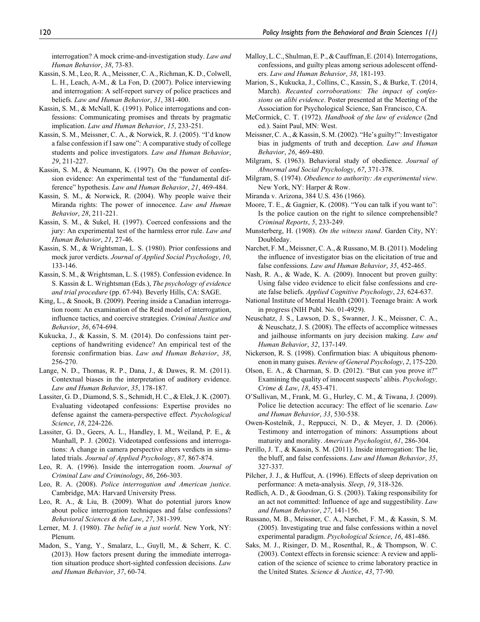interrogation? A mock crime-and-investigation study. *Law and Human Behavior*, *38*, 73-83.

- Kassin, S. M., Leo, R. A., Meissner, C. A., Richman, K. D., Colwell, L. H., Leach, A-M., & La Fon, D. (2007). Police interviewing and interrogation: A self-report survey of police practices and beliefs. *Law and Human Behavior*, *31*, 381-400.
- Kassin, S. M., & McNall, K. (1991). Police interrogations and confessions: Communicating promises and threats by pragmatic implication. *Law and Human Behavior*, *15*, 233-251.
- Kassin, S. M., Meissner, C. A., & Norwick, R. J. (2005). "I'd know a false confession if I saw one": A comparative study of college students and police investigators. *Law and Human Behavior*, *29*, 211-227.
- Kassin, S. M., & Neumann, K. (1997). On the power of confession evidence: An experimental test of the "fundamental difference" hypothesis. *Law and Human Behavior*, *21*, 469-484.
- Kassin, S. M., & Norwick, R. (2004). Why people waive their Miranda rights: The power of innocence. *Law and Human Behavior*, *28*, 211-221.
- Kassin, S. M., & Sukel, H. (1997). Coerced confessions and the jury: An experimental test of the harmless error rule. *Law and Human Behavior*, *21*, 27-46.
- Kassin, S. M., & Wrightsman, L. S. (1980). Prior confessions and mock juror verdicts. *Journal of Applied Social Psychology*, *10*, 133-146.
- Kassin, S. M., & Wrightsman, L. S. (1985). Confession evidence. In S. Kassin & L. Wrightsman (Eds.), *The psychology of evidence and trial procedure* (pp. 67-94). Beverly Hills, CA: SAGE.
- King, L., & Snook, B. (2009). Peering inside a Canadian interrogation room: An examination of the Reid model of interrogation, influence tactics, and coercive strategies. *Criminal Justice and Behavior*, *36*, 674-694.
- Kukucka, J., & Kassin, S. M. (2014). Do confessions taint perceptions of handwriting evidence? An empirical test of the forensic confirmation bias. *Law and Human Behavior*, *38*, 256-270.
- Lange, N. D., Thomas, R. P., Dana, J., & Dawes, R. M. (2011). Contextual biases in the interpretation of auditory evidence. *Law and Human Behavior*, *35*, 178-187.
- Lassiter, G. D., Diamond, S. S., Schmidt, H. C., & Elek, J. K. (2007). Evaluating videotaped confessions: Expertise provides no defense against the camera-perspective effect. *Psychological Science*, *18*, 224-226.
- Lassiter, G. D., Geers, A. L., Handley, I. M., Weiland, P. E., & Munhall, P. J. (2002). Videotaped confessions and interrogations: A change in camera perspective alters verdicts in simulated trials. *Journal of Applied Psychology*, *87*, 867-874.
- Leo, R. A. (1996). Inside the interrogation room. *Journal of Criminal Law and Criminology*, *86*, 266-303.
- Leo, R. A. (2008). *Police interrogation and American justice*. Cambridge, MA: Harvard University Press.
- Leo, R. A., & Liu, B. (2009). What do potential jurors know about police interrogation techniques and false confessions? *Behavioral Sciences & the Law*, *27*, 381-399.
- Lerner, M. J. (1980). *The belief in a just world*. New York, NY: Plenum.
- Madon, S., Yang, Y., Smalarz, L., Guyll, M., & Scherr, K. C. (2013). How factors present during the immediate interrogation situation produce short-sighted confession decisions. *Law and Human Behavior*, *37*, 60-74.
- Malloy, L. C., Shulman, E. P., & Cauffman, E. (2014). Interrogations, confessions, and guilty pleas among serious adolescent offenders. *Law and Human Behavior*, *38*, 181-193.
- Marion, S., Kukucka, J., Collins, C., Kassin, S., & Burke, T. (2014, March). *Recanted corroborations: The impact of confessions on alibi evidence*. Poster presented at the Meeting of the Association for Psychological Science, San Francisco, CA.
- McCormick, C. T. (1972). *Handbook of the law of evidence* (2nd ed.). Saint Paul, MN: West.
- Meissner, C. A., & Kassin, S. M. (2002). "He's guilty!": Investigator bias in judgments of truth and deception. *Law and Human Behavior*, *26*, 469-480.
- Milgram, S. (1963). Behavioral study of obedience. *Journal of Abnormal and Social Psychology*, *67*, 371-378.
- Milgram, S. (1974). *Obedience to authority: An experimental view*. New York, NY: Harper & Row.
- Miranda v. Arizona, 384 U.S. 436 (1966).
- Moore, T. E., & Gagnier, K. (2008). "You can talk if you want to": Is the police caution on the right to silence comprehensible? *Criminal Reports*, *5*, 233-249.
- Munsterberg, H. (1908). *On the witness stand*. Garden City, NY: Doubleday.
- Narchet, F. M., Meissner, C. A., & Russano, M. B. (2011). Modeling the influence of investigator bias on the elicitation of true and false confessions. *Law and Human Behavior*, *35*, 452-465.
- Nash, R. A., & Wade, K. A. (2009). Innocent but proven guilty: Using false video evidence to elicit false confessions and create false beliefs. *Applied Cognitive Psychology*, *23*, 624-637.
- National Institute of Mental Health (2001). Teenage brain: A work in progress (NIH Publ. No. 01-4929).
- Neuschatz, J. S., Lawson, D. S., Swanner, J. K., Meissner, C. A., & Neuschatz, J. S. (2008). The effects of accomplice witnesses and jailhouse informants on jury decision making. *Law and Human Behavior*, *32*, 137-149.
- Nickerson, R. S. (1998). Confirmation bias: A ubiquitous phenomenon in many guises. *Review of General Psychology*, *2*, 175-220.
- Olson, E. A., & Charman, S. D. (2012). "But can you prove it?" Examining the quality of innocent suspects' alibis. *Psychology, Crime & Law*, *18*, 453-471.
- O'Sullivan, M., Frank, M. G., Hurley, C. M., & Tiwana, J. (2009). Police lie detection accuracy: The effect of lie scenario. *Law and Human Behavior*, *33*, 530-538.
- Owen-Kostelnik, J., Reppucci, N. D., & Meyer, J. D. (2006). Testimony and interrogation of minors: Assumptions about maturity and morality. *American Psychologist*, *61*, 286-304.
- Perillo, J. T., & Kassin, S. M. (2011). Inside interrogation: The lie, the bluff, and false confessions. *Law and Human Behavior*, *35*, 327-337.
- Pilcher, J. J., & Huffcut, A. (1996). Effects of sleep deprivation on performance: A meta-analysis. *Sleep*, *19*, 318-326.
- Redlich, A. D., & Goodman, G. S. (2003). Taking responsibility for an act not committed: Influence of age and suggestibility. *Law and Human Behavior*, *27*, 141-156.
- Russano, M. B., Meissner, C. A., Narchet, F. M., & Kassin, S. M. (2005). Investigating true and false confessions within a novel experimental paradigm. *Psychological Science*, *16*, 481-486.
- Saks, M. J., Risinger, D. M., Rosenthal, R., & Thompson, W. C. (2003). Context effects in forensic science: A review and application of the science of science to crime laboratory practice in the United States. *Science & Justice*, *43*, 77-90.